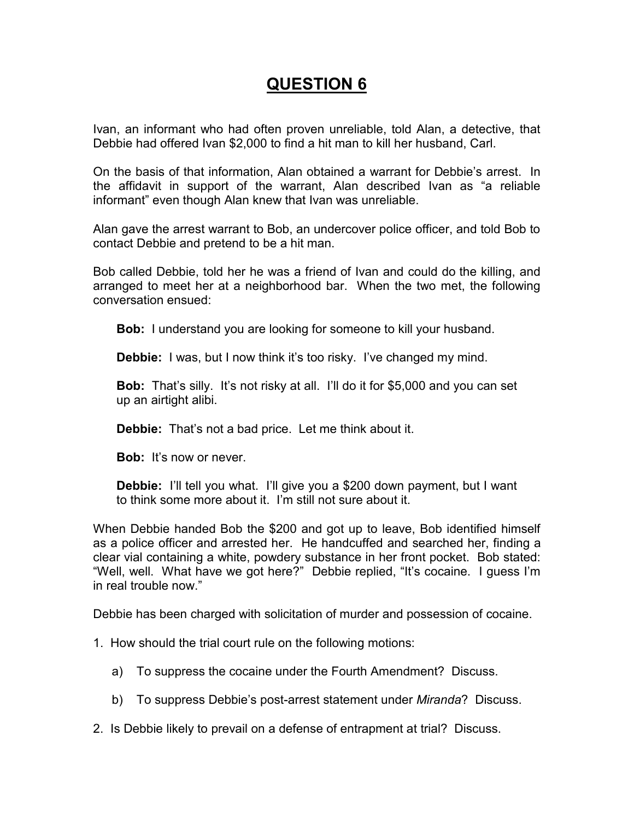# **QUESTION 6**

Ivan, an informant who had often proven unreliable, told Alan, a detective, that Debbie had offered Ivan \$2,000 to find a hit man to kill her husband, Carl.

On the basis of that information, Alan obtained a warrant for Debbie's arrest. In the affidavit in support of the warrant, Alan described Ivan as "a reliable informant" even though Alan knew that Ivan was unreliable.

Alan gave the arrest warrant to Bob, an undercover police officer, and told Bob to contact Debbie and pretend to be a hit man.

Bob called Debbie, told her he was a friend of Ivan and could do the killing, and arranged to meet her at a neighborhood bar. When the two met, the following conversation ensued:

**Bob:** I understand you are looking for someone to kill your husband.

**Debbie:** I was, but I now think it's too risky. I've changed my mind.

**Bob:** That's silly. It's not risky at all. I'll do it for \$5,000 and you can set up an airtight alibi.

**Debbie:** That's not a bad price. Let me think about it.

**Bob:** It's now or never.

**Debbie:** I'll tell you what. I'll give you a \$200 down payment, but I want to think some more about it. I'm still not sure about it.

When Debbie handed Bob the \$200 and got up to leave, Bob identified himself as a police officer and arrested her. He handcuffed and searched her, finding a clear vial containing a white, powdery substance in her front pocket. Bob stated: "Well, well. What have we got here?" Debbie replied, "It's cocaine. I guess I'm in real trouble now."

Debbie has been charged with solicitation of murder and possession of cocaine.

- 1. How should the trial court rule on the following motions:
	- a) To suppress the cocaine under the Fourth Amendment? Discuss.
	- b) To suppress Debbie's post-arrest statement under *Miranda*? Discuss.
- 2. Is Debbie likely to prevail on a defense of entrapment at trial? Discuss.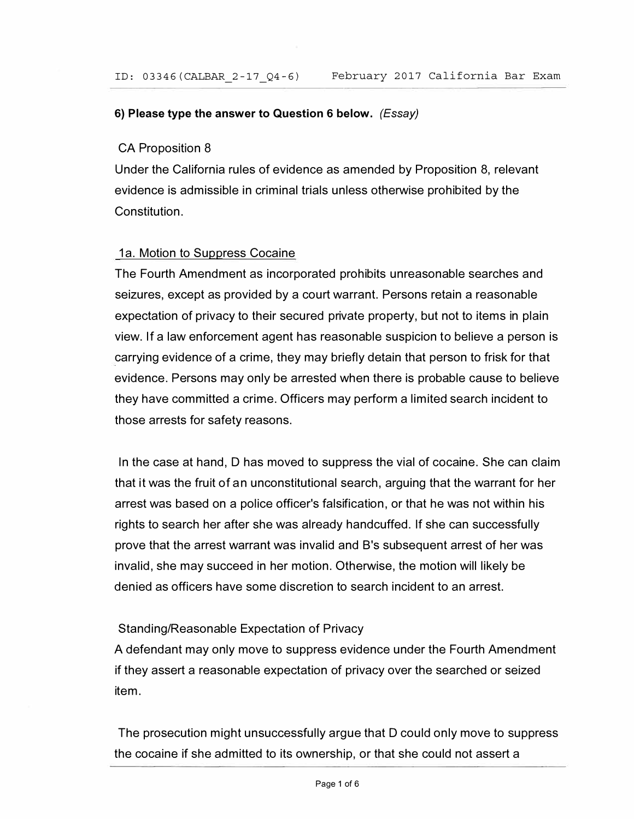## **6) Please type the answer to Question 6 below.** *(Essay)*

## CA Proposition 8

Under the California rules of evidence as amended by Proposition 8, relevant evidence is admissible in criminal trials unless otherwise prohibited by the Constitution.

## 1a. Motion to Suppress Cocaine

The Fourth Amendment as incorporated prohibits unreasonable searches and seizures, except as provided by a court warrant. Persons retain a reasonable expectation of privacy to their secured private property, but not to items in plain view. If a law enforcement agent has reasonable suspicion to believe a person is carrying evidence of a crime, they may briefly detain that person to frisk for that evidence. Persons may only be arrested when there is probable cause to believe they have committed a crime. Officers may perform a limited search incident to those arrests for safety reasons.

In the case at hand, D has moved to suppress the vial of cocaine. She can claim that it was the fruit of an unconstitutional search, arguing that the warrant for her arrest was based on a police officer's falsification, or that he was not within his rights to search her after she was already handcuffed. If she can successfully prove that the arrest warrant was invalid and B's subsequent arrest of her was invalid, she may succeed in her motion. Otherwise, the motion will likely be denied as officers have some discretion to search incident to an arrest.

#### Standing/Reasonable Expectation of Privacy

A defendant may only move to suppress evidence under the Fourth Amendment if they assert a reasonable expectation of privacy over the searched or seized item.

The prosecution might unsuccessfully argue that D could only move to suppress the cocaine if she admitted to its ownership, or that she could not assert a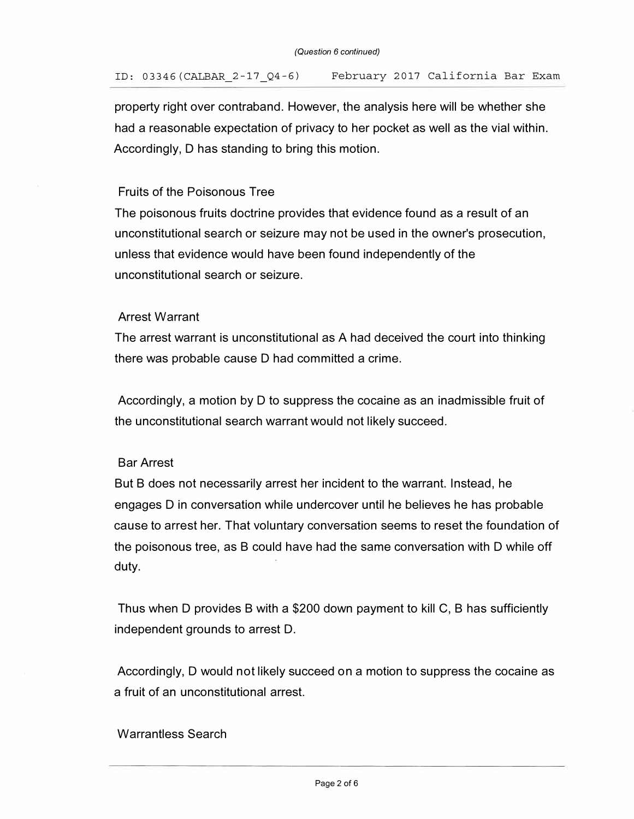property right over contraband. However, the analysis here will be whether she had a reasonable expectation of privacy to her pocket as well as the vial within. Accordingly, D has standing to bring this motion.

## Fruits of the Poisonous Tree

The poisonous fruits doctrine provides that evidence found as a result of an unconstitutional search or seizure may not be used in the owner's prosecution, unless that evidence would have been found independently of the unconstitutional search or seizure.

## Arrest Warrant

The arrest warrant is unconstitutional as A had deceived the court into thinking there was probable cause D had committed a crime.

Accordingly, a motion by D to suppress the cocaine as an inadmissible fruit of the unconstitutional search warrant would not likely succeed.

## Bar Arrest

But B does not necessarily arrest her incident to the warrant. Instead, he engages D in conversation while undercover until he believes he has probable cause to arrest her. That voluntary conversation seems to reset the foundation of the poisonous tree, as B could have had the same conversation with D while off duty.

Thus when D provides B with a \$200 down payment to kill C, B has sufficiently independent grounds to arrest D.

Accordingly, D would not likely succeed on a motion to suppress the cocaine as a fruit of an unconstitutional arrest.

# Warrantless Search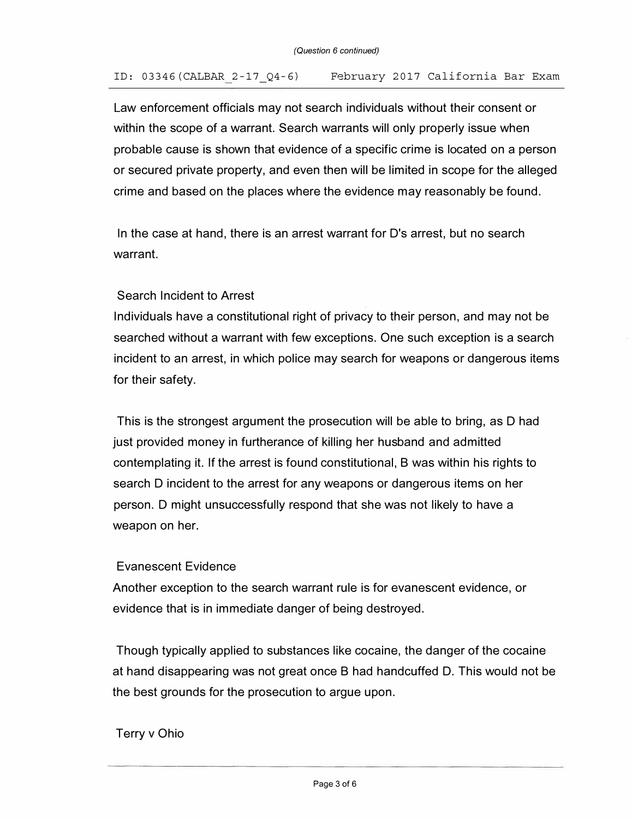## ID: 03346(CALBAR 2-17\_Q4-6) February 2017 California Bar Exam

Law enforcement officials may not search individuals without their consent or within the scope of a warrant. Search warrants will only properly issue when probable cause is shown that evidence of a specific crime is located on a person or secured private property, and even then will be limited in scope for the alleged crime and based on the places where the evidence may reasonably be found.

In the case at hand, there is an arrest warrant for D's arrest, but no search warrant.

## Search Incident to Arrest

Individuals have a constitutional right of privacy to their person, and may not be searched without a warrant with few exceptions. One such exception is a search incident to an arrest, in which police may search for weapons or dangerous items for their safety.

This is the strongest argument the prosecution will be able to bring, as D had just provided money in furtherance of killing her husband and admitted contemplating it. If the arrest is found constitutional, B was within his rights to search D incident to the arrest for any weapons or dangerous items on her person. D might unsuccessfully respond that she was not likely to have a weapon on her.

## Evanescent Evidence

Another exception to the search warrant rule is for evanescent evidence, or evidence that is in immediate danger of being destroyed.

Though typically applied to substances like cocaine, the danger of the cocaine at hand disappearing was not great once B had handcuffed D. This would not be the best grounds for the prosecution to argue upon.

## Terry v Ohio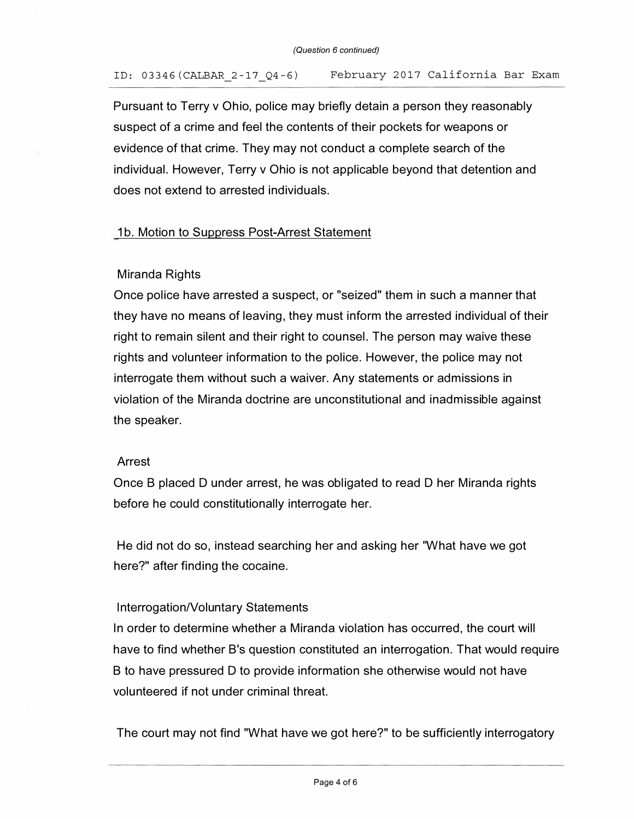## ID: 03346(CALBAR 2-17 Q4-6) February 2017 California Bar Exam

Pursuant to Terry v Ohio, police may briefly detain a person they reasonably suspect of a crime and feel the contents of their pockets for weapons or evidence of that crime. They may not conduct a complete search of the individual. However, Terry v Ohio is not applicable beyond that detention and does not extend to arrested individuals.

### 1b. Motion to Suppress Post-Arrest Statement

### Miranda Rights

Once police have arrested a suspect, or "seized" them in such a manner that they have no means of leaving, they must inform the arrested individual of their right to remain silent and their right to counsel. The person may waive these rights and volunteer information to the police. However, the police may not interrogate them without such a waiver. Any statements or admissions in violation of the Miranda doctrine are unconstitutional and inadmissible against the speaker.

#### Arrest

Once B placed D under arrest, he was obligated to read D her Miranda rights before he could constitutionally interrogate her.

He did not do so, instead searching her and asking her "What have we got here?" after finding the cocaine.

#### Interrogation/Voluntary Statements

In order to determine whether a Miranda violation has occurred, the court will have to find whether B's question constituted an interrogation. That would require B to have pressured D to provide information she otherwise would not have volunteered if not under criminal threat.

The court may not find "What have we got here?" to be sufficiently interrogatory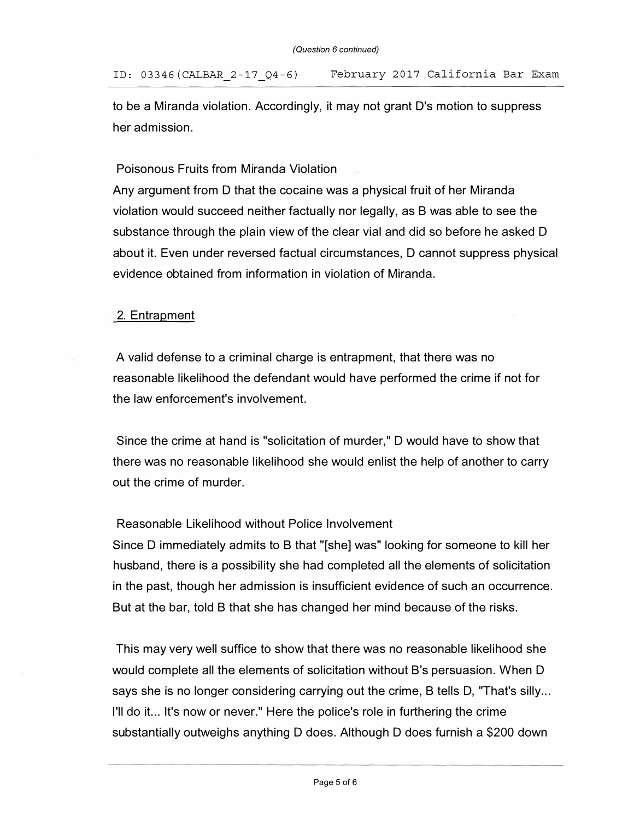to be a Miranda violation. Accordingly, it may not grant D's motion to suppress her admission.

Poisonous Fruits from Miranda Violation

Any argument from D that the cocaine was a physical fruit of her Miranda violation would succeed neither factually nor legally, as B was able to see the substance through the plain view of the clear vial and did so before he asked D about it. Even under reversed factual circumstances, D cannot suppress physical evidence obtained from information in violation of Miranda.

# 2. Entrapment

A valid defense to a criminal charge is entrapment, that there was no reasonable likelihood the defendant would have performed the crime if not for the law enforcement's involvement.

Since the crime at hand is "solicitation of murder," D would have to show that there was no reasonable likelihood she would enlist the help of another to carry out the crime of murder.

## Reasonable Likelihood without Police Involvement

Since D immediately admits to B that "[she] was" looking for someone to kill her husband, there is a possibility she had completed all the elements of solicitation in the past, though her admission is insufficient evidence of such an occurrence. But at the bar, told B that she has changed her mind because of the risks.

This may very well suffice to show that there was no reasonable likelihood she would complete all the elements of solicitation without B's persuasion. When D says she is no longer considering carrying out the crime, B tells D, "That's silly ... I'll do it... It's now or never." Here the police's role in furthering the crime substantially outweighs anything D does. Although D does furnish a \$200 down